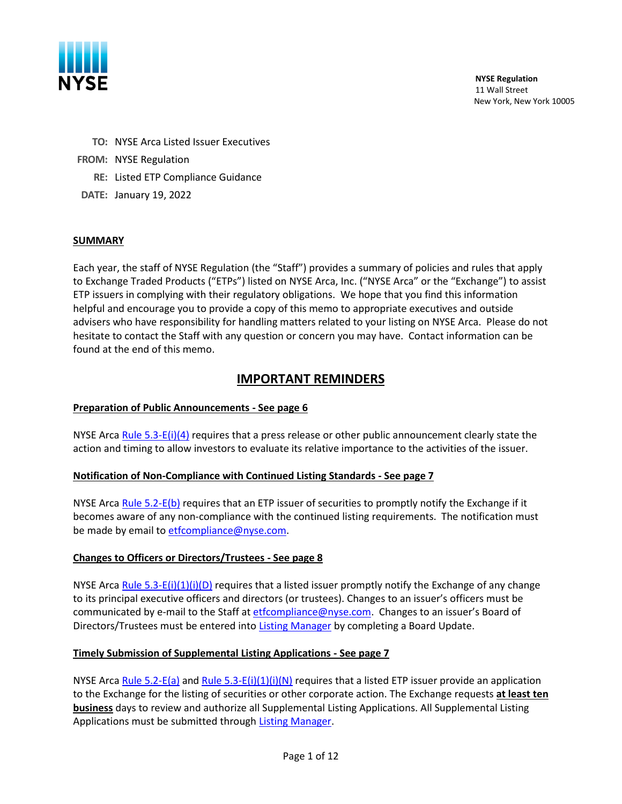

**NYSE Regulation** 11 Wall Street New York, New York 10005

- **TO:** NYSE Arca Listed Issuer Executives
- **FROM:** NYSE Regulation
	- **RE:** Listed ETP Compliance Guidance
- **DATE:** January 19, 2022

#### **SUMMARY**

Each year, the staff of NYSE Regulation (the "Staff") provides a summary of policies and rules that apply to Exchange Traded Products ("ETPs") listed on NYSE Arca, Inc. ("NYSE Arca" or the "Exchange") to assist ETP issuers in complying with their regulatory obligations. We hope that you find this information helpful and encourage you to provide a copy of this memo to appropriate executives and outside advisers who have responsibility for handling matters related to your listing on NYSE Arca. Please do not hesitate to contact the Staff with any question or concern you may have. Contact information can be found at the end of this memo.

# **IMPORTANT REMINDERS**

### **Preparation of Public Announcements - See page 6**

NYSE Arca Rule [5.3-E\(i\)\(4\)](https://nysearcaguide.srorules.com/rules/document?treeNodeId=csh-da-filter!WKUS-TAL-DOCS-PHC-%7B57E4C5DB-A9B6-48EB-964A-3E2CA5EDB8C6%7D--WKUS_TAL_18878%23teid-518) requires that a press release or other public announcement clearly state the action and timing to allow investors to evaluate its relative importance to the activities of the issuer.

### **Notification of Non-Compliance with Continued Listing Standards - See page 7**

NYSE Arca [Rule 5.2-E\(b\)](https://nysearcaguide.srorules.com/rules/document?treeNodeId=csh-da-filter!WKUS-TAL-DOCS-PHC-%7B57E4C5DB-A9B6-48EB-964A-3E2CA5EDB8C6%7D--WKUS_TAL_18878%23teid-483) requires that an ETP issuer of securities to promptly notify the Exchange if it becomes aware of any non-compliance with the continued listing requirements. The notification must be made by email to [etfcompliance@nyse.com.](mailto:etfcompliance@nyse.com)

### **Changes to Officers or Directors/Trustees - See page 8**

NYSE Arca [Rule 5.3-E\(i\)\(1\)\(i\)\(D\)](https://nysearcaguide.srorules.com/rules/document?treeNodeId=csh-da-filter!WKUS-TAL-DOCS-PHC-%7B57E4C5DB-A9B6-48EB-964A-3E2CA5EDB8C6%7D--WKUS_TAL_18878%23teid-515) requires that a listed issuer promptly notify the Exchange of any change to its principal executive officers and directors (or trustees). Changes to an issuer's officers must be communicated by e-mail to the Staff at [etfcompliance@nyse.com.](mailto:etfcompliance@nyse.com) Changes to an issuer's Board of Directors/Trustees must be entered into [Listing Manager](https://listingmanager.nyse.com/accounts/login/) by completing a Board Update.

### **Timely Submission of Supplemental Listing Applications - See page 7**

NYSE Arca [Rule 5.2-E\(a\)](https://nysearcaguide.srorules.com/rules/document?treeNodeId=csh-da-filter!WKUS-TAL-DOCS-PHC-%7B57E4C5DB-A9B6-48EB-964A-3E2CA5EDB8C6%7D--WKUS_TAL_18878%23teid-482) an[d Rule 5.3-E\(i\)\(1\)\(i\)\(N\)](https://nysearcaguide.srorules.com/rules/document?treeNodeId=csh-da-filter!WKUS-TAL-DOCS-PHC-%7B57E4C5DB-A9B6-48EB-964A-3E2CA5EDB8C6%7D--WKUS_TAL_18878%23teid-515) requires that a listed ETP issuer provide an application to the Exchange for the listing of securities or other corporate action. The Exchange requests **at least ten business** days to review and authorize all Supplemental Listing Applications. All Supplemental Listing Applications must be submitted through [Listing Manager.](https://listingmanager.nyse.com/accounts/login/)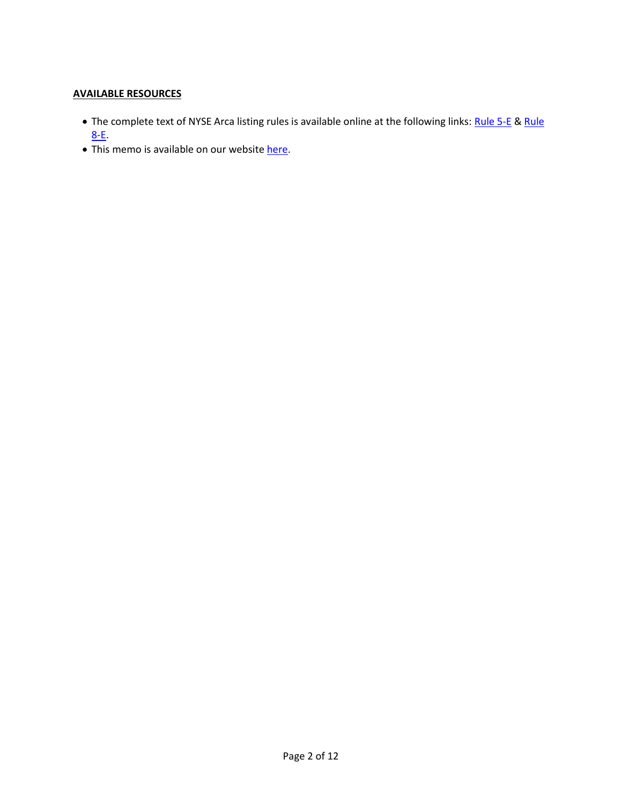## **AVAILABLE RESOURCES**

- The complete text of NYSE Arca listing rules is available online at the following links: [Rule 5-E](https://nysearcaguide.srorules.com/rules/document?treeNodeId=csh-da-filter!WKUS-TAL-DOCS-PHC-%7B57E4C5DB-A9B6-48EB-964A-3E2CA5EDB8C6%7D--WKUS_TAL_18878%23b44a1b787ccd1000812e90b11c2ac4f101e3) & Rule [8-E.](https://nysearcaguide.srorules.com/rules/document?treeNodeId=csh-da-filter!WKUS-TAL-DOCS-PHC-%7B57E4C5DB-A9B6-48EB-964A-3E2CA5EDB8C6%7D--WKUS_TAL_18878%23b44a1fa67ccd1000817b90b11c2ac4f10277)
- This memo is available on our websit[e here.](https://www.nyse.com/regulation/nyse-arca)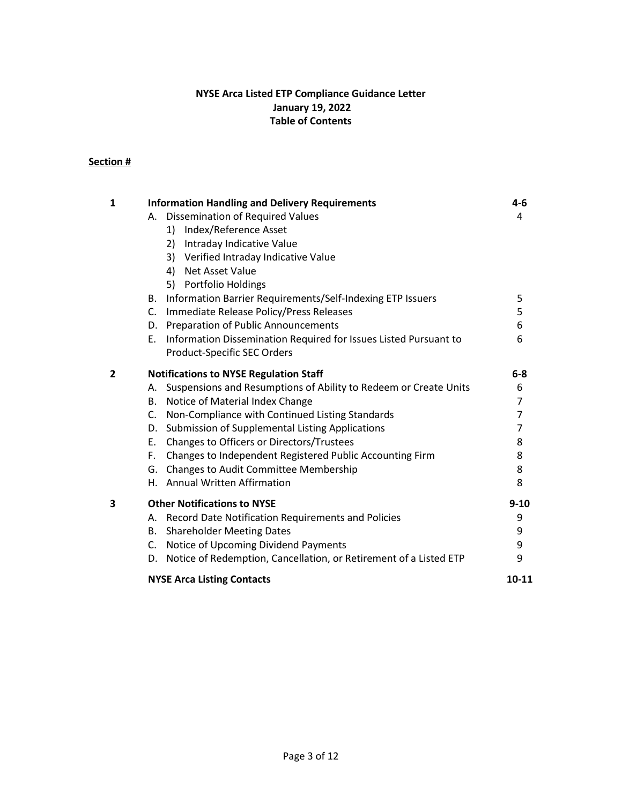## **NYSE Arca Listed ETP Compliance Guidance Letter January 19, 2022 Table of Contents**

# **Section #**

| $\mathbf{1}$   | <b>Information Handling and Delivery Requirements</b>                  |                |  |
|----------------|------------------------------------------------------------------------|----------------|--|
|                | A. Dissemination of Required Values                                    | 4              |  |
|                | 1) Index/Reference Asset                                               |                |  |
|                | 2) Intraday Indicative Value                                           |                |  |
|                | 3) Verified Intraday Indicative Value                                  |                |  |
|                | <b>Net Asset Value</b><br>4)                                           |                |  |
|                | 5) Portfolio Holdings                                                  |                |  |
|                | Information Barrier Requirements/Self-Indexing ETP Issuers<br>В.       | 5              |  |
|                | Immediate Release Policy/Press Releases<br>$C_{\cdot}$                 | 5              |  |
|                | D. Preparation of Public Announcements                                 | 6              |  |
|                | Information Dissemination Required for Issues Listed Pursuant to<br>Е. | 6              |  |
|                | Product-Specific SEC Orders                                            |                |  |
| $\overline{2}$ | <b>Notifications to NYSE Regulation Staff</b>                          | $6-8$          |  |
|                | A. Suspensions and Resumptions of Ability to Redeem or Create Units    | 6              |  |
|                | Notice of Material Index Change<br>В.                                  | $\overline{7}$ |  |
|                | C.<br>Non-Compliance with Continued Listing Standards                  | $\overline{7}$ |  |
|                | Submission of Supplemental Listing Applications<br>D.                  | 7              |  |
|                | Ε.<br>Changes to Officers or Directors/Trustees                        | 8              |  |
|                | Changes to Independent Registered Public Accounting Firm<br>F.         | 8              |  |
|                | G. Changes to Audit Committee Membership                               | 8              |  |
|                | H. Annual Written Affirmation                                          | 8              |  |
| 3              | <b>Other Notifications to NYSE</b>                                     | $9 - 10$       |  |
|                | A. Record Date Notification Requirements and Policies                  | 9              |  |
|                | B. Shareholder Meeting Dates                                           | 9              |  |
|                | Notice of Upcoming Dividend Payments<br>$C_{1}$                        | 9              |  |
|                | D. Notice of Redemption, Cancellation, or Retirement of a Listed ETP   | 9              |  |
|                | <b>NYSE Arca Listing Contacts</b>                                      | 10-11          |  |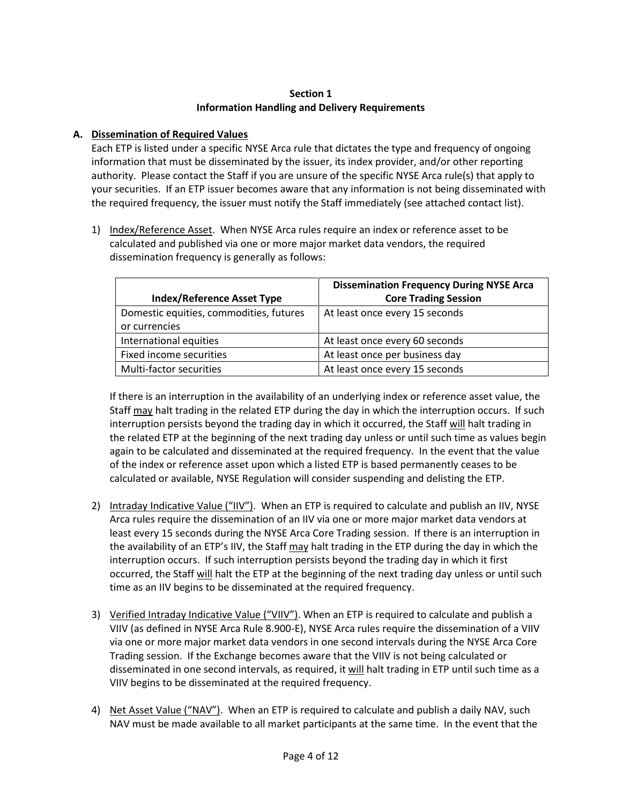## **Section 1 Information Handling and Delivery Requirements**

## **A. Dissemination of Required Values**

Each ETP is listed under a specific NYSE Arca rule that dictates the type and frequency of ongoing information that must be disseminated by the issuer, its index provider, and/or other reporting authority. Please contact the Staff if you are unsure of the specific NYSE Arca rule(s) that apply to your securities. If an ETP issuer becomes aware that any information is not being disseminated with the required frequency, the issuer must notify the Staff immediately (see attached contact list).

1) Index/Reference Asset. When NYSE Arca rules require an index or reference asset to be calculated and published via one or more major market data vendors, the required dissemination frequency is generally as follows:

|                                         | <b>Dissemination Frequency During NYSE Arca</b> |  |
|-----------------------------------------|-------------------------------------------------|--|
| <b>Index/Reference Asset Type</b>       | <b>Core Trading Session</b>                     |  |
| Domestic equities, commodities, futures | At least once every 15 seconds                  |  |
| or currencies                           |                                                 |  |
| International equities                  | At least once every 60 seconds                  |  |
| Fixed income securities                 | At least once per business day                  |  |
| Multi-factor securities                 | At least once every 15 seconds                  |  |

If there is an interruption in the availability of an underlying index or reference asset value, the Staff may halt trading in the related ETP during the day in which the interruption occurs. If such interruption persists beyond the trading day in which it occurred, the Staff will halt trading in the related ETP at the beginning of the next trading day unless or until such time as values begin again to be calculated and disseminated at the required frequency. In the event that the value of the index or reference asset upon which a listed ETP is based permanently ceases to be calculated or available, NYSE Regulation will consider suspending and delisting the ETP.

- 2) Intraday Indicative Value ("IIV"). When an ETP is required to calculate and publish an IIV, NYSE Arca rules require the dissemination of an IIV via one or more major market data vendors at least every 15 seconds during the NYSE Arca Core Trading session. If there is an interruption in the availability of an ETP's IIV, the Staff may halt trading in the ETP during the day in which the interruption occurs. If such interruption persists beyond the trading day in which it first occurred, the Staff will halt the ETP at the beginning of the next trading day unless or until such time as an IIV begins to be disseminated at the required frequency.
- 3) Verified Intraday Indicative Value ("VIIV"). When an ETP is required to calculate and publish a VIIV (as defined in NYSE Arca Rule 8.900-E), NYSE Arca rules require the dissemination of a VIIV via one or more major market data vendors in one second intervals during the NYSE Arca Core Trading session. If the Exchange becomes aware that the VIIV is not being calculated or disseminated in one second intervals, as required, it will halt trading in ETP until such time as a VIIV begins to be disseminated at the required frequency.
- 4) Net Asset Value ("NAV"). When an ETP is required to calculate and publish a daily NAV, such NAV must be made available to all market participants at the same time. In the event that the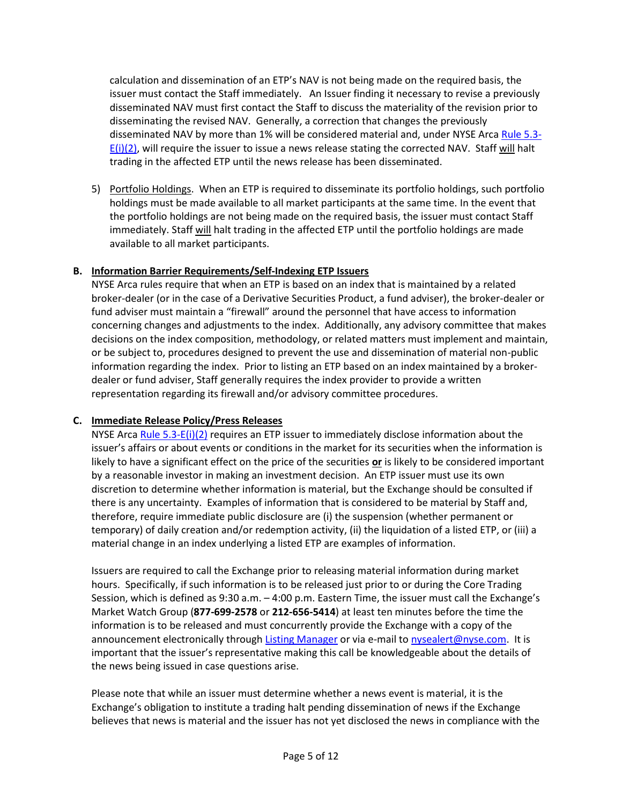calculation and dissemination of an ETP's NAV is not being made on the required basis, the issuer must contact the Staff immediately. An Issuer finding it necessary to revise a previously disseminated NAV must first contact the Staff to discuss the materiality of the revision prior to disseminating the revised NAV. Generally, a correction that changes the previously disseminated NAV by more than 1% will be considered material and, under NYSE Arc[a Rule 5.3-](https://nysearcaguide.srorules.com/rules/document?treeNodeId=csh-da-filter!WKUS-TAL-DOCS-PHC-%7B57E4C5DB-A9B6-48EB-964A-3E2CA5EDB8C6%7D--WKUS_TAL_18878%23teid-516)  $E(i)(2)$ , will require the issuer to issue a news release stating the corrected NAV. Staff will halt trading in the affected ETP until the news release has been disseminated.

5) Portfolio Holdings. When an ETP is required to disseminate its portfolio holdings, such portfolio holdings must be made available to all market participants at the same time. In the event that the portfolio holdings are not being made on the required basis, the issuer must contact Staff immediately. Staff will halt trading in the affected ETP until the portfolio holdings are made available to all market participants.

### **B. Information Barrier Requirements/Self-Indexing ETP Issuers**

NYSE Arca rules require that when an ETP is based on an index that is maintained by a related broker-dealer (or in the case of a Derivative Securities Product, a fund adviser), the broker-dealer or fund adviser must maintain a "firewall" around the personnel that have access to information concerning changes and adjustments to the index. Additionally, any advisory committee that makes decisions on the index composition, methodology, or related matters must implement and maintain, or be subject to, procedures designed to prevent the use and dissemination of material non-public information regarding the index. Prior to listing an ETP based on an index maintained by a brokerdealer or fund adviser, Staff generally requires the index provider to provide a written representation regarding its firewall and/or advisory committee procedures.

## **C. Immediate Release Policy/Press Releases**

NYSE Arca [Rule 5.3-E\(i\)\(2\)](https://nysearcaguide.srorules.com/rules/document?treeNodeId=csh-da-filter!WKUS-TAL-DOCS-PHC-%7B57E4C5DB-A9B6-48EB-964A-3E2CA5EDB8C6%7D--WKUS_TAL_18878%23teid-516) requires an ETP issuer to immediately disclose information about the issuer's affairs or about events or conditions in the market for its securities when the information is likely to have a significant effect on the price of the securities **or** is likely to be considered important by a reasonable investor in making an investment decision. An ETP issuer must use its own discretion to determine whether information is material, but the Exchange should be consulted if there is any uncertainty. Examples of information that is considered to be material by Staff and, therefore, require immediate public disclosure are (i) the suspension (whether permanent or temporary) of daily creation and/or redemption activity, (ii) the liquidation of a listed ETP, or (iii) a material change in an index underlying a listed ETP are examples of information.

Issuers are required to call the Exchange prior to releasing material information during market hours. Specifically, if such information is to be released just prior to or during the Core Trading Session, which is defined as 9:30 a.m. – 4:00 p.m. Eastern Time, the issuer must call the Exchange's Market Watch Group (**877-699-2578** or **212-656-5414**) at least ten minutes before the time the information is to be released and must concurrently provide the Exchange with a copy of the announcement electronically through [Listing Manager](https://listingmanager.nyse.com/accounts/login/) or via e-mail t[o nysealert@nyse.com.](mailto:nysealert@nyse.com) It is important that the issuer's representative making this call be knowledgeable about the details of the news being issued in case questions arise.

Please note that while an issuer must determine whether a news event is material, it is the Exchange's obligation to institute a trading halt pending dissemination of news if the Exchange believes that news is material and the issuer has not yet disclosed the news in compliance with the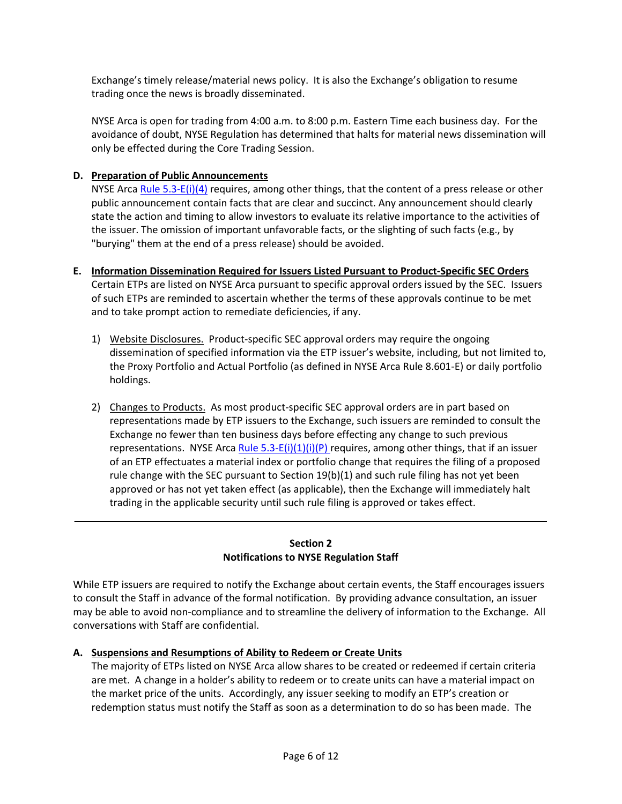Exchange's timely release/material news policy. It is also the Exchange's obligation to resume trading once the news is broadly disseminated.

NYSE Arca is open for trading from 4:00 a.m. to 8:00 p.m. Eastern Time each business day. For the avoidance of doubt, NYSE Regulation has determined that halts for material news dissemination will only be effected during the Core Trading Session.

## **D. Preparation of Public Announcements**

NYSE Arca [Rule 5.3-E\(i\)\(4\)](https://nysearcaguide.srorules.com/rules/document?treeNodeId=csh-da-filter!WKUS-TAL-DOCS-PHC-%7B57E4C5DB-A9B6-48EB-964A-3E2CA5EDB8C6%7D--WKUS_TAL_18878%23teid-518) requires, among other things, that the content of a press release or other public announcement contain facts that are clear and succinct. Any announcement should clearly state the action and timing to allow investors to evaluate its relative importance to the activities of the issuer. The omission of important unfavorable facts, or the slighting of such facts (e.g., by "burying" them at the end of a press release) should be avoided.

- **E. Information Dissemination Required for Issuers Listed Pursuant to Product-Specific SEC Orders** Certain ETPs are listed on NYSE Arca pursuant to specific approval orders issued by the SEC. Issuers of such ETPs are reminded to ascertain whether the terms of these approvals continue to be met and to take prompt action to remediate deficiencies, if any.
	- 1) Website Disclosures. Product-specific SEC approval orders may require the ongoing dissemination of specified information via the ETP issuer's website, including, but not limited to, the Proxy Portfolio and Actual Portfolio (as defined in NYSE Arca Rule 8.601-E) or daily portfolio holdings.
	- 2) Changes to Products. As most product-specific SEC approval orders are in part based on representations made by ETP issuers to the Exchange, such issuers are reminded to consult the Exchange no fewer than ten business days before effecting any change to such previous representations. NYSE Arca Rule  $5.3-E(i)(1)(i)(P)$  requires, among other things, that if an issuer of an ETP effectuates a material index or portfolio change that requires the filing of a proposed rule change with the SEC pursuant to Section 19(b)(1) and such rule filing has not yet been approved or has not yet taken effect (as applicable), then the Exchange will immediately halt trading in the applicable security until such rule filing is approved or takes effect.

## **Section 2 Notifications to NYSE Regulation Staff**

\_\_\_\_\_\_\_\_\_\_\_\_\_\_\_\_\_\_\_\_\_\_\_\_\_\_\_\_\_\_\_\_\_\_\_\_\_\_\_\_\_\_\_\_\_\_\_\_\_\_\_\_\_\_\_\_\_\_\_\_\_\_\_\_\_\_\_\_\_\_\_\_\_\_\_\_\_\_\_\_\_\_\_\_\_

While ETP issuers are required to notify the Exchange about certain events, the Staff encourages issuers to consult the Staff in advance of the formal notification. By providing advance consultation, an issuer may be able to avoid non-compliance and to streamline the delivery of information to the Exchange. All conversations with Staff are confidential.

## **A. Suspensions and Resumptions of Ability to Redeem or Create Units**

The majority of ETPs listed on NYSE Arca allow shares to be created or redeemed if certain criteria are met. A change in a holder's ability to redeem or to create units can have a material impact on the market price of the units. Accordingly, any issuer seeking to modify an ETP's creation or redemption status must notify the Staff as soon as a determination to do so has been made. The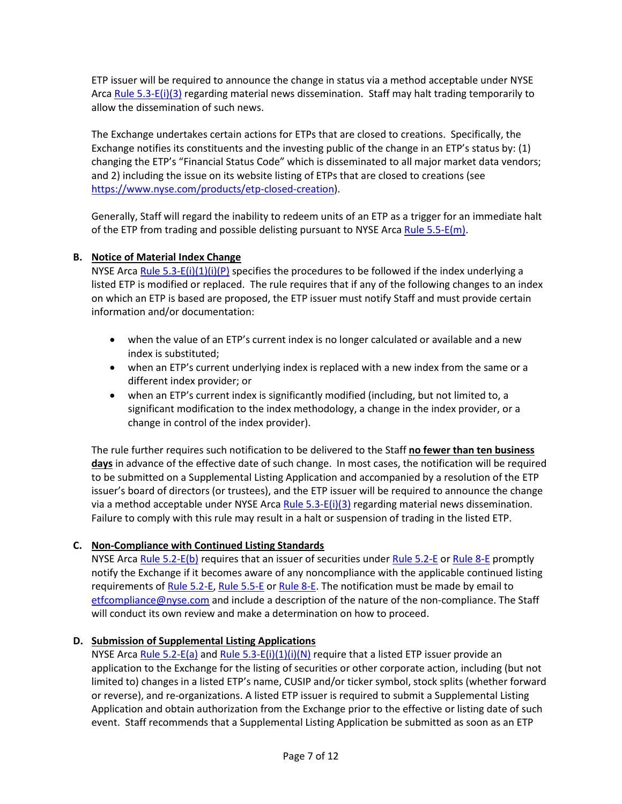ETP issuer will be required to announce the change in status via a method acceptable under NYSE Arc[a Rule 5.3-E\(i\)\(3\)](https://nysearcaguide.srorules.com/rules/document?treeNodeId=csh-da-filter!WKUS-TAL-DOCS-PHC-%7B57E4C5DB-A9B6-48EB-964A-3E2CA5EDB8C6%7D--WKUS_TAL_18878%23teid-517) regarding material news dissemination. Staff may halt trading temporarily to allow the dissemination of such news.

The Exchange undertakes certain actions for ETPs that are closed to creations. Specifically, the Exchange notifies its constituents and the investing public of the change in an ETP's status by: (1) changing the ETP's "Financial Status Code" which is disseminated to all major market data vendors; and 2) including the issue on its website listing of ETPs that are closed to creations (see [https://www.nyse.com/products/etp-closed-creation\)](https://www.nyse.com/products/etp-closed-creation).

Generally, Staff will regard the inability to redeem units of an ETP as a trigger for an immediate halt of the ETP from trading and possible delisting pursuant to NYSE Arca [Rule 5.5-E\(m\).](https://nysearcaguide.srorules.com/rules/document?treeNodeId=csh-da-filter!WKUS-TAL-DOCS-PHC-%7B57E4C5DB-A9B6-48EB-964A-3E2CA5EDB8C6%7D--WKUS_TAL_18878%23teid-542)

## **B. Notice of Material Index Change**

NYSE Arca [Rule 5.3-E\(i\)\(1\)\(i\)\(P\)](https://nysearcaguide.srorules.com/rules/document?treeNodeId=csh-da-filter!WKUS-TAL-DOCS-PHC-%7B57E4C5DB-A9B6-48EB-964A-3E2CA5EDB8C6%7D--WKUS_TAL_18878%23teid-515) specifies the procedures to be followed if the index underlying a listed ETP is modified or replaced. The rule requires that if any of the following changes to an index on which an ETP is based are proposed, the ETP issuer must notify Staff and must provide certain information and/or documentation:

- when the value of an ETP's current index is no longer calculated or available and a new index is substituted;
- when an ETP's current underlying index is replaced with a new index from the same or a different index provider; or
- when an ETP's current index is significantly modified (including, but not limited to, a significant modification to the index methodology, a change in the index provider, or a change in control of the index provider).

The rule further requires such notification to be delivered to the Staff **no fewer than ten business days** in advance of the effective date of such change. In most cases, the notification will be required to be submitted on a Supplemental Listing Application and accompanied by a resolution of the ETP issuer's board of directors (or trustees), and the ETP issuer will be required to announce the change via a method acceptable under NYSE Arca [Rule 5.3-E\(i\)\(3\)](https://nysearcaguide.srorules.com/rules/document?treeNodeId=csh-da-filter!WKUS-TAL-DOCS-PHC-%7B57E4C5DB-A9B6-48EB-964A-3E2CA5EDB8C6%7D--WKUS_TAL_18878%23teid-517) regarding material news dissemination. Failure to comply with this rule may result in a halt or suspension of trading in the listed ETP.

## **C. Non-Compliance with Continued Listing Standards**

NYSE Arca [Rule 5.2-E\(b\)](https://nysearcaguide.srorules.com/rules/document?treeNodeId=csh-da-filter!WKUS-TAL-DOCS-PHC-%7B57E4C5DB-A9B6-48EB-964A-3E2CA5EDB8C6%7D--WKUS_TAL_18878%23teid-483) requires that an issuer of securities under Rule [5.2-E](https://nysearcaguide.srorules.com/rules/document?treeNodeId=csh-da-filter!WKUS-TAL-DOCS-PHC-%7B57E4C5DB-A9B6-48EB-964A-3E2CA5EDB8C6%7D--WKUS_TAL_18878%23b44a1b967ccd1000807890b11c2ac4f101e8) or [Rule 8-E](https://nysearcaguide.srorules.com/rules/document?treeNodeId=csh-da-filter!WKUS-TAL-DOCS-PHC-%7B57E4C5DB-A9B6-48EB-964A-3E2CA5EDB8C6%7D--WKUS_TAL_18878%23b44a1fa67ccd1000817b90b11c2ac4f10277) promptly notify the Exchange if it becomes aware of any noncompliance with the applicable continued listing requirements of [Rule 5.2-E,](https://nysearcaguide.srorules.com/rules/document?treeNodeId=csh-da-filter!WKUS-TAL-DOCS-PHC-%7B57E4C5DB-A9B6-48EB-964A-3E2CA5EDB8C6%7D--WKUS_TAL_18878%23b44a1b967ccd1000807890b11c2ac4f101e8) [Rule 5.5-E](https://nysearcaguide.srorules.com/rules/document?searchId=307492870&treeNodeId=csh-da-filter!WKUS-TAL-DOCS-PHC-%7B57E4C5DB-A9B6-48EB-964A-3E2CA5EDB8C6%7D--WKUS_TAL_18878%23b44a1d1c7ccd1000973790b11c2ac4f10219) o[r Rule 8-E.](https://nysearcaguide.srorules.com/rules/document?treeNodeId=csh-da-filter!WKUS-TAL-DOCS-PHC-%7B57E4C5DB-A9B6-48EB-964A-3E2CA5EDB8C6%7D--WKUS_TAL_18878%23b44a1fa67ccd1000817b90b11c2ac4f10277) The notification must be made by email to [etfcompliance@nyse.com](mailto:etfcompliance@nyse.com) and include a description of the nature of the non-compliance. The Staff will conduct its own review and make a determination on how to proceed.

## **D. Submission of Supplemental Listing Applications**

NYSE Arca [Rule 5.2-E\(a\)](https://nysearcaguide.srorules.com/rules/document?treeNodeId=csh-da-filter!WKUS-TAL-DOCS-PHC-%7B57E4C5DB-A9B6-48EB-964A-3E2CA5EDB8C6%7D--WKUS_TAL_18878%23teid-482) an[d Rule 5.3-E\(i\)\(1\)\(i\)\(N\)](https://nysearcaguide.srorules.com/rules/document?treeNodeId=csh-da-filter!WKUS-TAL-DOCS-PHC-%7B57E4C5DB-A9B6-48EB-964A-3E2CA5EDB8C6%7D--WKUS_TAL_18878%23teid-515) require that a listed ETP issuer provide an application to the Exchange for the listing of securities or other corporate action, including (but not limited to) changes in a listed ETP's name, CUSIP and/or ticker symbol, stock splits (whether forward or reverse), and re-organizations. A listed ETP issuer is required to submit a Supplemental Listing Application and obtain authorization from the Exchange prior to the effective or listing date of such event. Staff recommends that a Supplemental Listing Application be submitted as soon as an ETP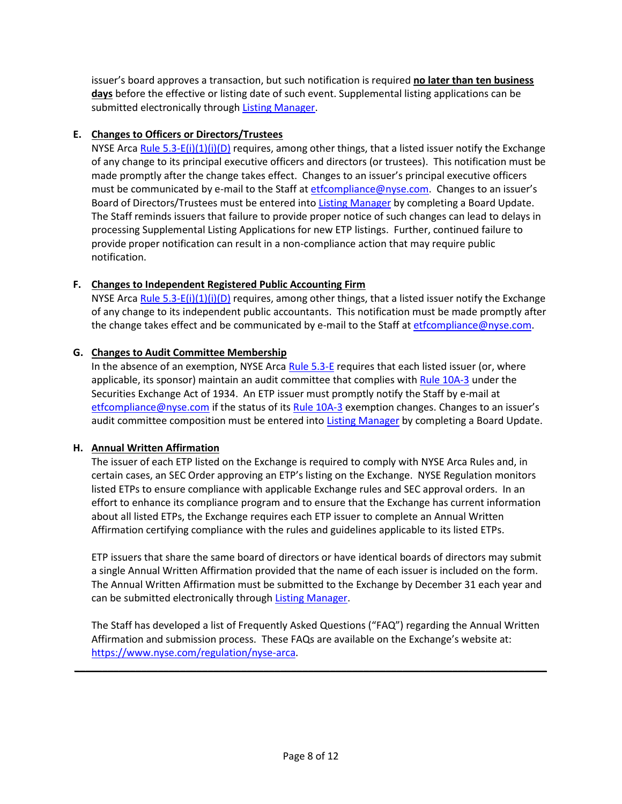issuer's board approves a transaction, but such notification is required **no later than ten business days** before the effective or listing date of such event. Supplemental listing applications can be submitted electronically through [Listing Manager.](https://listingmanager.nyse.com/accounts/login/)

## **E. Changes to Officers or Directors/Trustees**

NYSE Arca [Rule 5.3-E\(i\)\(1\)\(i\)\(D\)](https://nysearcaguide.srorules.com/rules/document?treeNodeId=csh-da-filter!WKUS-TAL-DOCS-PHC-%7B57E4C5DB-A9B6-48EB-964A-3E2CA5EDB8C6%7D--WKUS_TAL_18878%23teid-515) requires, among other things, that a listed issuer notify the Exchange of any change to its principal executive officers and directors (or trustees). This notification must be made promptly after the change takes effect. Changes to an issuer's principal executive officers must be communicated by e-mail to the Staff at [etfcompliance@nyse.com.](mailto:etfcompliance@nyse.com) Changes to an issuer's Board of Directors/Trustees must be entered int[o Listing Manager](https://listingmanager.nyse.com/accounts/login/) by completing a Board Update. The Staff reminds issuers that failure to provide proper notice of such changes can lead to delays in processing Supplemental Listing Applications for new ETP listings. Further, continued failure to provide proper notification can result in a non-compliance action that may require public notification.

## **F. Changes to Independent Registered Public Accounting Firm**

NYSE Arca [Rule 5.3-E\(i\)\(1\)\(i\)\(D\)](https://nysearcaguide.srorules.com/rules/document?treeNodeId=csh-da-filter!WKUS-TAL-DOCS-PHC-%7B57E4C5DB-A9B6-48EB-964A-3E2CA5EDB8C6%7D--WKUS_TAL_18878%23teid-515) requires, among other things, that a listed issuer notify the Exchange of any change to its independent public accountants. This notification must be made promptly after the change takes effect and be communicated by e-mail to the Staff at [etfcompliance@nyse.com.](mailto:etfcompliance@nyse.com)

## **G. Changes to Audit Committee Membership**

In the absence of an exemption, NYSE Arca [Rule 5.3-E](https://nysearcaguide.srorules.com/rules/document?treeNodeId=csh-da-filter!WKUS-TAL-DOCS-PHC-%7B57E4C5DB-A9B6-48EB-964A-3E2CA5EDB8C6%7D--WKUS_TAL_18878%23b44a1c727ccd10009b5390b11c2ac4f10201) requires that each listed issuer (or, where applicable, its sponsor) maintain an audit committee that complies wit[h Rule 10A-3](http://www.sec.gov/rules/final/33-8220.htm) under the Securities Exchange Act of 1934. An ETP issuer must promptly notify the Staff by e-mail at [etfcompliance@nyse.com](mailto:etfcompliance@nyse.com) if the status of it[s Rule 10A-3](http://www.sec.gov/rules/final/33-8220.htm) exemption changes. Changes to an issuer's audit committee composition must be entered into [Listing Manager](https://listingmanager.nyse.com/accounts/login/) by completing a Board Update.

## **H. Annual Written Affirmation**

The issuer of each ETP listed on the Exchange is required to comply with NYSE Arca Rules and, in certain cases, an SEC Order approving an ETP's listing on the Exchange. NYSE Regulation monitors listed ETPs to ensure compliance with applicable Exchange rules and SEC approval orders. In an effort to enhance its compliance program and to ensure that the Exchange has current information about all listed ETPs, the Exchange requires each ETP issuer to complete an Annual Written Affirmation certifying compliance with the rules and guidelines applicable to its listed ETPs.

ETP issuers that share the same board of directors or have identical boards of directors may submit a single Annual Written Affirmation provided that the name of each issuer is included on the form. The Annual Written Affirmation must be submitted to the Exchange by December 31 each year and can be submitted electronically throug[h Listing Manager.](https://listingmanager.nyse.com/accounts/login/)

The Staff has developed a list of Frequently Asked Questions ("FAQ") regarding the Annual Written Affirmation and submission process. These FAQs are available on the Exchange's website at: [https://www.nyse.com/regulation/nyse-arca.](https://www.nyse.com/regulation/nyse-arca)

\_\_\_\_\_\_\_\_\_\_\_\_\_\_\_\_\_\_\_\_\_\_\_\_\_\_\_\_\_\_\_\_\_\_\_\_\_\_\_\_\_\_\_\_\_\_\_\_\_\_\_\_\_\_\_\_\_\_\_\_\_\_\_\_\_\_\_\_\_\_\_\_\_\_\_\_\_\_\_\_\_\_\_\_\_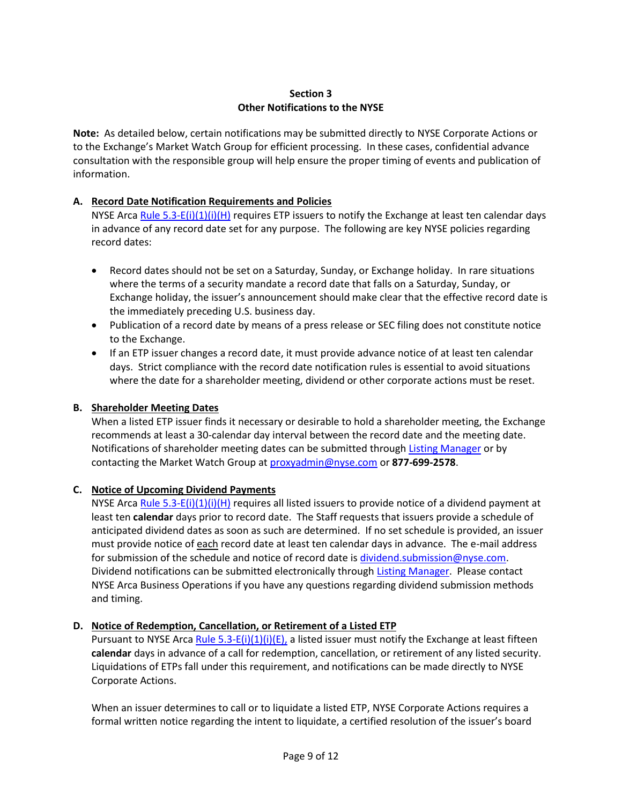## **Section 3 Other Notifications to the NYSE**

**Note:** As detailed below, certain notifications may be submitted directly to NYSE Corporate Actions or to the Exchange's Market Watch Group for efficient processing.In these cases, confidential advance consultation with the responsible group will help ensure the proper timing of events and publication of information.

## **A. Record Date Notification Requirements and Policies**

NYSE Arca [Rule 5.3-E\(i\)\(1\)\(i\)\(H\)](https://nysearcaguide.srorules.com/rules/document?treeNodeId=csh-da-filter!WKUS-TAL-DOCS-PHC-%7B57E4C5DB-A9B6-48EB-964A-3E2CA5EDB8C6%7D--WKUS_TAL_18878%23teid-515) requires ETP issuers to notify the Exchange at least ten calendar days in advance of any record date set for any purpose. The following are key NYSE policies regarding record dates:

- Record dates should not be set on a Saturday, Sunday, or Exchange holiday. In rare situations where the terms of a security mandate a record date that falls on a Saturday, Sunday, or Exchange holiday, the issuer's announcement should make clear that the effective record date is the immediately preceding U.S. business day.
- Publication of a record date by means of a press release or SEC filing does not constitute notice to the Exchange.
- If an ETP issuer changes a record date, it must provide advance notice of at least ten calendar days. Strict compliance with the record date notification rules is essential to avoid situations where the date for a shareholder meeting, dividend or other corporate actions must be reset.

## **B. Shareholder Meeting Dates**

When a listed ETP issuer finds it necessary or desirable to hold a shareholder meeting, the Exchange recommends at least a 30-calendar day interval between the record date and the meeting date. Notifications of shareholder meeting dates can be submitted throug[h Listing Manager](https://listingmanager.nyse.com/accounts/login/) or by contacting the Market Watch Group at [proxyadmin@nyse.com](mailto:proxyadmin@nyse.com) or **877-699-2578**.

### **C. Notice of Upcoming Dividend Payments**

NYSE Arca [Rule 5.3-E\(i\)\(1\)\(i\)\(H\)](https://nysearcaguide.srorules.com/rules/document?treeNodeId=csh-da-filter!WKUS-TAL-DOCS-PHC-%7B57E4C5DB-A9B6-48EB-964A-3E2CA5EDB8C6%7D--WKUS_TAL_18878%23teid-515) requires all listed issuers to provide notice of a dividend payment at least ten **calendar** days prior to record date. The Staff requests that issuers provide a schedule of anticipated dividend dates as soon as such are determined. If no set schedule is provided, an issuer must provide notice of each record date at least ten calendar days in advance. The e-mail address for submission of the schedule and notice of record date i[s dividend.submission@nyse.com.](mailto:dividend.submission@nyse.com) Dividend notifications can be submitted electronically through [Listing Manager.](https://listingmanager.nyse.com/accounts/login/) Please contact NYSE Arca Business Operations if you have any questions regarding dividend submission methods and timing.

## **D. Notice of Redemption, Cancellation, or Retirement of a Listed ETP**

Pursuant to NYSE Arca Rule  $5.3-E(i)(1)(i)(E)$ , a listed issuer must notify the Exchange at least fifteen **calendar** days in advance of a call for redemption, cancellation, or retirement of any listed security. Liquidations of ETPs fall under this requirement, and notifications can be made directly to NYSE Corporate Actions.

When an issuer determines to call or to liquidate a listed ETP, NYSE Corporate Actions requires a formal written notice regarding the intent to liquidate, a certified resolution of the issuer's board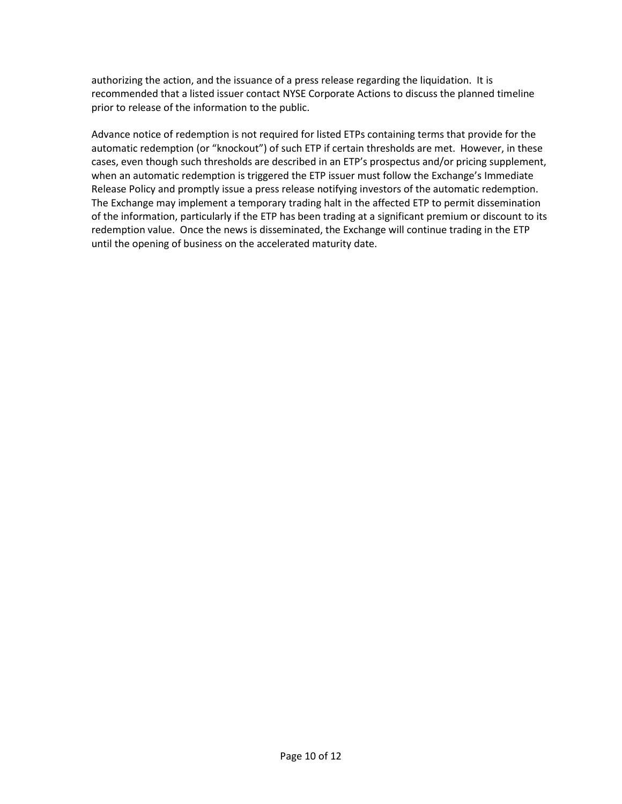authorizing the action, and the issuance of a press release regarding the liquidation. It is recommended that a listed issuer contact NYSE Corporate Actions to discuss the planned timeline prior to release of the information to the public.

Advance notice of redemption is not required for listed ETPs containing terms that provide for the automatic redemption (or "knockout") of such ETP if certain thresholds are met. However, in these cases, even though such thresholds are described in an ETP's prospectus and/or pricing supplement, when an automatic redemption is triggered the ETP issuer must follow the Exchange's Immediate Release Policy and promptly issue a press release notifying investors of the automatic redemption. The Exchange may implement a temporary trading halt in the affected ETP to permit dissemination of the information, particularly if the ETP has been trading at a significant premium or discount to its redemption value. Once the news is disseminated, the Exchange will continue trading in the ETP until the opening of business on the accelerated maturity date.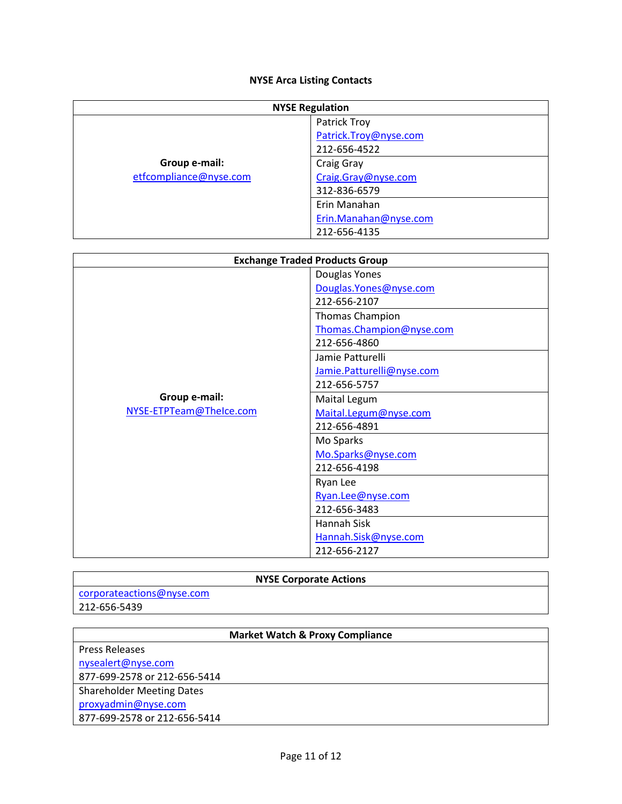# **NYSE Arca Listing Contacts**

| <b>NYSE Regulation</b> |                       |  |  |  |
|------------------------|-----------------------|--|--|--|
|                        | Patrick Troy          |  |  |  |
|                        | Patrick.Troy@nyse.com |  |  |  |
|                        | 212-656-4522          |  |  |  |
| Group e-mail:          | Craig Gray            |  |  |  |
| etfcompliance@nyse.com | Craig.Gray@nyse.com   |  |  |  |
|                        | 312-836-6579          |  |  |  |
|                        | Erin Manahan          |  |  |  |
|                        | Erin.Manahan@nyse.com |  |  |  |
|                        | 212-656-4135          |  |  |  |

| <b>Exchange Traded Products Group</b> |                           |  |  |
|---------------------------------------|---------------------------|--|--|
|                                       | Douglas Yones             |  |  |
|                                       | Douglas. Yones@nyse.com   |  |  |
|                                       | 212-656-2107              |  |  |
|                                       | Thomas Champion           |  |  |
|                                       | Thomas.Champion@nyse.com  |  |  |
|                                       | 212-656-4860              |  |  |
|                                       | Jamie Patturelli          |  |  |
|                                       | Jamie.Patturelli@nyse.com |  |  |
|                                       | 212-656-5757              |  |  |
| Group e-mail:                         | Maital Legum              |  |  |
| NYSE-ETPTeam@TheIce.com               | Maital.Legum@nyse.com     |  |  |
|                                       | 212-656-4891              |  |  |
|                                       | Mo Sparks                 |  |  |
|                                       | Mo.Sparks@nyse.com        |  |  |
|                                       | 212-656-4198              |  |  |
|                                       | Ryan Lee                  |  |  |
|                                       | Ryan.Lee@nyse.com         |  |  |
|                                       | 212-656-3483              |  |  |
|                                       | Hannah Sisk               |  |  |
|                                       | Hannah.Sisk@nyse.com      |  |  |
|                                       | 212-656-2127              |  |  |

# **NYSE Corporate Actions**

| corporateactions@nyse.com |  |
|---------------------------|--|
| 212-656-5439              |  |

# **Market Watch & Proxy Compliance**

| <b>Press Releases</b>            |  |
|----------------------------------|--|
| nysealert@nyse.com               |  |
| 877-699-2578 or 212-656-5414     |  |
| <b>Shareholder Meeting Dates</b> |  |
| proxyadmin@nyse.com              |  |
| 877-699-2578 or 212-656-5414     |  |